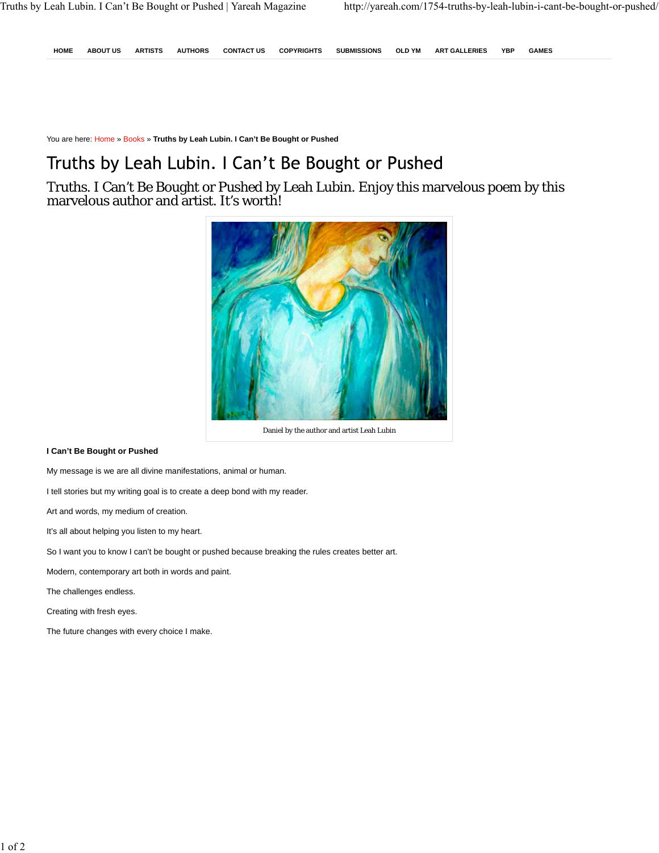**HOME ABOUT US ARTISTS AUTHORS CONTACT US COPYRIGHTS SUBMISSIONS OLD YM ART GALLERIES YBP GAMES**

You are here: Home » Books » **Truths by Leah Lubin. I Can't Be Bought or Pushed**

## Truths by Leah Lubin. I Can't Be Bought or Pushed

Truths. I Can't Be Bought or Pushed by Leah Lubin. Enjoy this marvelous poem by this marvelous author and artist. It's worth!



Daniel by the author and artist Leah Lubin

## **I Can't Be Bought or Pushed**

My message is we are all divine manifestations, animal or human.

I tell stories but my writing goal is to create a deep bond with my reader.

Art and words, my medium of creation.

It's all about helping you listen to my heart.

So I want you to know I can't be bought or pushed because breaking the rules creates better art.

Modern, contemporary art both in words and paint.

The challenges endless.

Creating with fresh eyes.

The future changes with every choice I make.